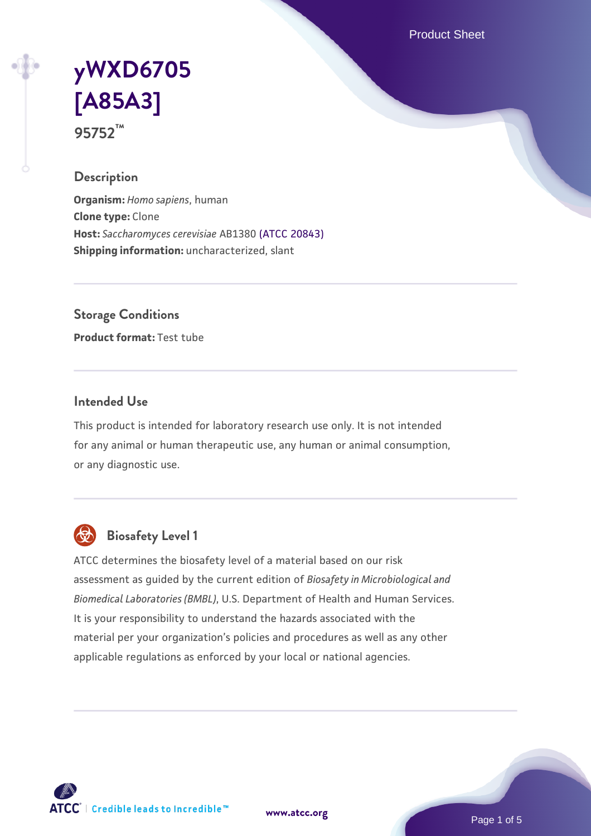Product Sheet

# **[yWXD6705](https://www.atcc.org/products/95752) [\[A85A3\]](https://www.atcc.org/products/95752) 95752™**

### **Description**

**Organism:** *Homo sapiens*, human **Clone type:** Clone **Host:** *Saccharomyces cerevisiae* AB1380 [\(ATCC 20843\)](https://www.atcc.org/products/20843) **Shipping information:** uncharacterized, slant

**Storage Conditions**

**Product format:** Test tube

## **Intended Use**

This product is intended for laboratory research use only. It is not intended for any animal or human therapeutic use, any human or animal consumption, or any diagnostic use.



# **Biosafety Level 1**

ATCC determines the biosafety level of a material based on our risk assessment as guided by the current edition of *Biosafety in Microbiological and Biomedical Laboratories (BMBL)*, U.S. Department of Health and Human Services. It is your responsibility to understand the hazards associated with the material per your organization's policies and procedures as well as any other applicable regulations as enforced by your local or national agencies.

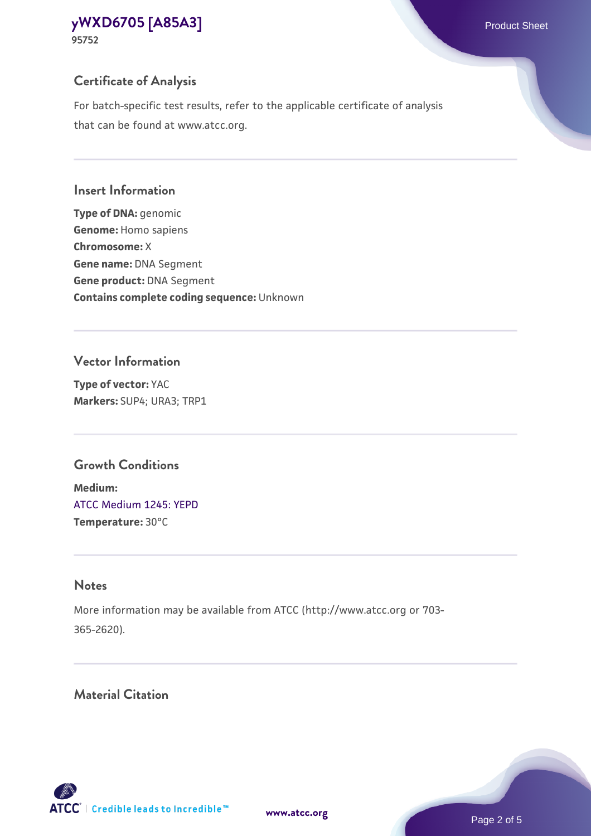# **Certificate of Analysis**

For batch-specific test results, refer to the applicable certificate of analysis that can be found at www.atcc.org.

#### **Insert Information**

**Type of DNA:** genomic **Genome:** Homo sapiens **Chromosome:** X **Gene name:** DNA Segment **Gene product:** DNA Segment **Contains complete coding sequence:** Unknown

### **Vector Information**

**Type of vector:** YAC **Markers:** SUP4; URA3; TRP1

# **Growth Conditions**

**Medium:**  [ATCC Medium 1245: YEPD](https://www.atcc.org/-/media/product-assets/documents/microbial-media-formulations/1/2/4/5/atcc-medium-1245.pdf?rev=705ca55d1b6f490a808a965d5c072196) **Temperature:** 30°C

# **Notes**

More information may be available from ATCC (http://www.atcc.org or 703- 365-2620).

# **Material Citation**

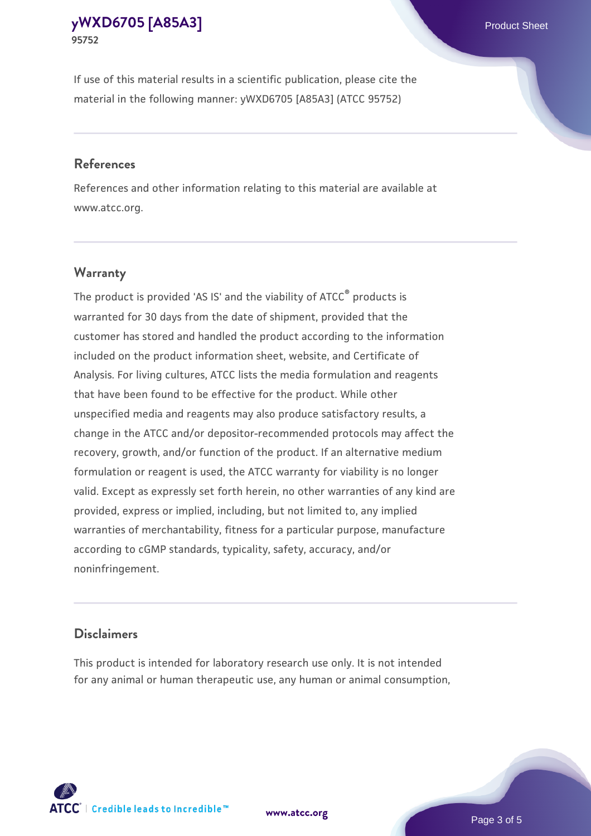If use of this material results in a scientific publication, please cite the material in the following manner: yWXD6705 [A85A3] (ATCC 95752)

#### **References**

References and other information relating to this material are available at www.atcc.org.

### **Warranty**

The product is provided 'AS IS' and the viability of  $ATCC<sup>®</sup>$  products is warranted for 30 days from the date of shipment, provided that the customer has stored and handled the product according to the information included on the product information sheet, website, and Certificate of Analysis. For living cultures, ATCC lists the media formulation and reagents that have been found to be effective for the product. While other unspecified media and reagents may also produce satisfactory results, a change in the ATCC and/or depositor-recommended protocols may affect the recovery, growth, and/or function of the product. If an alternative medium formulation or reagent is used, the ATCC warranty for viability is no longer valid. Except as expressly set forth herein, no other warranties of any kind are provided, express or implied, including, but not limited to, any implied warranties of merchantability, fitness for a particular purpose, manufacture according to cGMP standards, typicality, safety, accuracy, and/or noninfringement.

#### **Disclaimers**

This product is intended for laboratory research use only. It is not intended for any animal or human therapeutic use, any human or animal consumption,

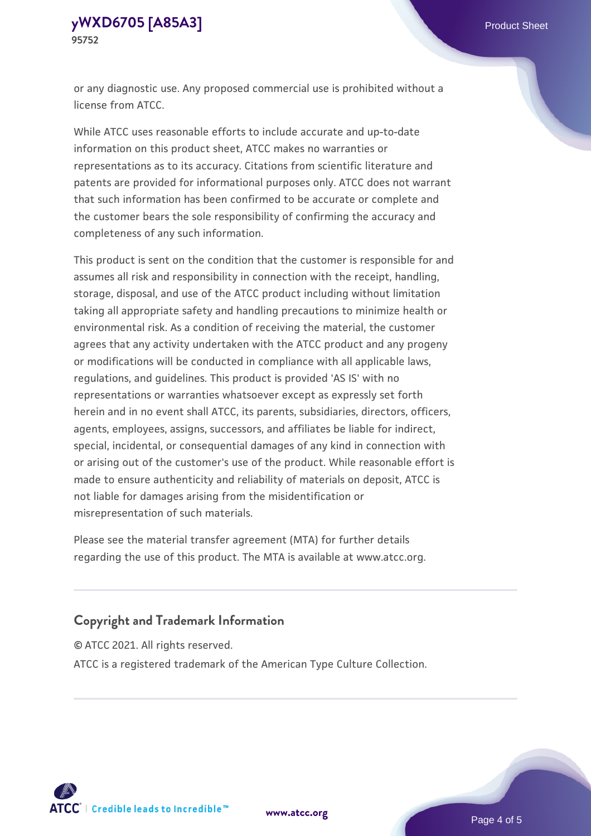or any diagnostic use. Any proposed commercial use is prohibited without a license from ATCC.

While ATCC uses reasonable efforts to include accurate and up-to-date information on this product sheet, ATCC makes no warranties or representations as to its accuracy. Citations from scientific literature and patents are provided for informational purposes only. ATCC does not warrant that such information has been confirmed to be accurate or complete and the customer bears the sole responsibility of confirming the accuracy and completeness of any such information.

This product is sent on the condition that the customer is responsible for and assumes all risk and responsibility in connection with the receipt, handling, storage, disposal, and use of the ATCC product including without limitation taking all appropriate safety and handling precautions to minimize health or environmental risk. As a condition of receiving the material, the customer agrees that any activity undertaken with the ATCC product and any progeny or modifications will be conducted in compliance with all applicable laws, regulations, and guidelines. This product is provided 'AS IS' with no representations or warranties whatsoever except as expressly set forth herein and in no event shall ATCC, its parents, subsidiaries, directors, officers, agents, employees, assigns, successors, and affiliates be liable for indirect, special, incidental, or consequential damages of any kind in connection with or arising out of the customer's use of the product. While reasonable effort is made to ensure authenticity and reliability of materials on deposit, ATCC is not liable for damages arising from the misidentification or misrepresentation of such materials.

Please see the material transfer agreement (MTA) for further details regarding the use of this product. The MTA is available at www.atcc.org.

## **Copyright and Trademark Information**

© ATCC 2021. All rights reserved.

ATCC is a registered trademark of the American Type Culture Collection.



**[www.atcc.org](http://www.atcc.org)**